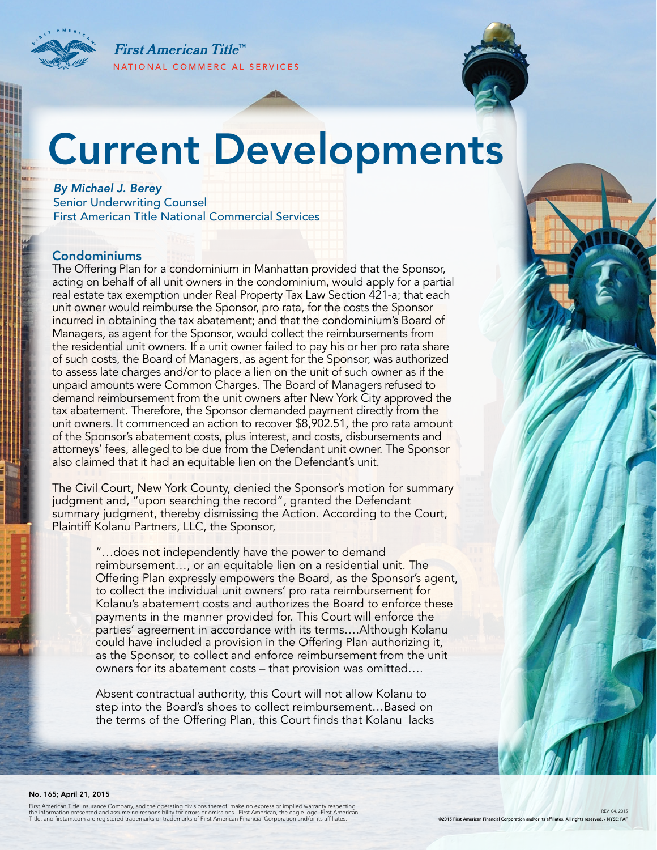First American Title<sup>™</sup> NATIONAL COMMERCIAL SERVICES



# Current Developments

*By Michael J. Berey*  Senior Underwriting Counsel First American Title National Commercial Services

# Condominiums

The Offering Plan for a condominium in Manhattan provided that the Sponsor, acting on behalf of all unit owners in the condominium, would apply for a partial real estate tax exemption under Real Property Tax Law Section 421-a; that each unit owner would reimburse the Sponsor, pro rata, for the costs the Sponsor incurred in obtaining the tax abatement; and that the condominium's Board of Managers, as agent for the Sponsor, would collect the reimbursements from the residential unit owners. If a unit owner failed to pay his or her pro rata share of such costs, the Board of Managers, as agent for the Sponsor, was authorized to assess late charges and/or to place a lien on the unit of such owner as if the unpaid amounts were Common Charges. The Board of Managers refused to demand reimbursement from the unit owners after New York City approved the tax abatement. Therefore, the Sponsor demanded payment directly from the unit owners. It commenced an action to recover \$8,902.51, the pro rata amount of the Sponsor's abatement costs, plus interest, and costs, disbursements and attorneys' fees, alleged to be due from the Defendant unit owner. The Sponsor also claimed that it had an equitable lien on the Defendant's unit.

The Civil Court, New York County, denied the Sponsor's motion for summary judgment and, "upon searching the record", granted the Defendant summary judgment, thereby dismissing the Action. According to the Court, Plaintiff Kolanu Partners, LLC, the Sponsor,

> "…does not independently have the power to demand reimbursement…, or an equitable lien on a residential unit. The Offering Plan expressly empowers the Board, as the Sponsor's agent, to collect the individual unit owners' pro rata reimbursement for Kolanu's abatement costs and authorizes the Board to enforce these payments in the manner provided for. This Court will enforce the parties' agreement in accordance with its terms….Although Kolanu could have included a provision in the Offering Plan authorizing it, as the Sponsor, to collect and enforce reimbursement from the unit owners for its abatement costs – that provision was omitted….

Absent contractual authority, this Court will not allow Kolanu to step into the Board's shoes to collect reimbursement…Based on the terms of the Offering Plan, this Court finds that Kolanu lacks

#### No. 165; April 21, 2015

First American Title Insurance Company, and the operating divisions thereof, make no express or implied warranty respecting<br>the information presented and assume no responsibility for errors or omissions. First American, th

REV: 04, 2015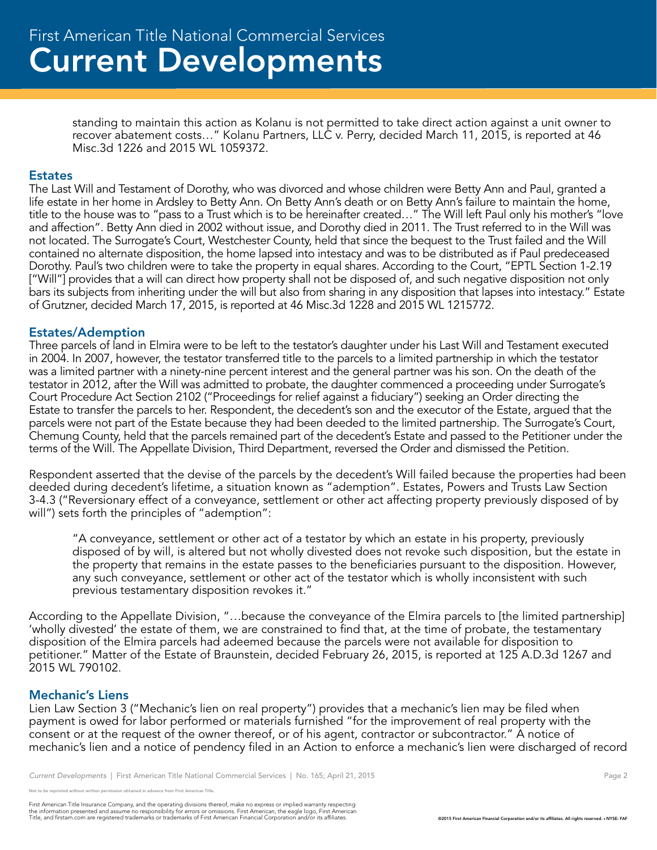standing to maintain this action as Kolanu is not permitted to take direct action against a unit owner to recover abatement costs..." Kolanu Partners, LLC v. Perry, decided March 11, 2015, is reported at 46 Misc.3d 1226 and 2015 WL 1059372.

#### **Estates**

The Last Will and Testament of Dorothy, who was divorced and whose children were Betty Ann and Paul, granted a life estate in her home in Ardsley to Betty Ann. On Betty Ann's death or on Betty Ann's failure to maintain the home, title to the house was to "pass to a Trust which is to be hereinafter created…" The Will left Paul only his mother's "love and affection". Betty Ann died in 2002 without issue, and Dorothy died in 2011. The Trust referred to in the Will was not located. The Surrogate's Court, Westchester County, held that since the bequest to the Trust failed and the Will contained no alternate disposition, the home lapsed into intestacy and was to be distributed as if Paul predeceased Dorothy. Paul's two children were to take the property in equal shares. According to the Court, "EPTL Section 1-2.19 ["Will"] provides that a will can direct how property shall not be disposed of, and such negative disposition not only bars its subjects from inheriting under the will but also from sharing in any disposition that lapses into intestacy." Estate of Grutzner, decided March 17, 2015, is reported at 46 Misc.3d 1228 and 2015 WL 1215772.

# Estates/Ademption

Three parcels of land in Elmira were to be left to the testator's daughter under his Last Will and Testament executed in 2004. In 2007, however, the testator transferred title to the parcels to a limited partnership in which the testator was a limited partner with a ninety-nine percent interest and the general partner was his son. On the death of the testator in 2012, after the Will was admitted to probate, the daughter commenced a proceeding under Surrogate's Court Procedure Act Section 2102 ("Proceedings for relief against a fiduciary") seeking an Order directing the Estate to transfer the parcels to her. Respondent, the decedent's son and the executor of the Estate, argued that the parcels were not part of the Estate because they had been deeded to the limited partnership. The Surrogate's Court, Chemung County, held that the parcels remained part of the decedent's Estate and passed to the Petitioner under the terms of the Will. The Appellate Division, Third Department, reversed the Order and dismissed the Petition.

Respondent asserted that the devise of the parcels by the decedent's Will failed because the properties had been deeded during decedent's lifetime, a situation known as "ademption". Estates, Powers and Trusts Law Section 3-4.3 ("Reversionary effect of a conveyance, settlement or other act affecting property previously disposed of by will") sets forth the principles of "ademption":

"A conveyance, settlement or other act of a testator by which an estate in his property, previously disposed of by will, is altered but not wholly divested does not revoke such disposition, but the estate in the property that remains in the estate passes to the beneficiaries pursuant to the disposition. However, any such conveyance, settlement or other act of the testator which is wholly inconsistent with such previous testamentary disposition revokes it."

According to the Appellate Division, "…because the conveyance of the Elmira parcels to [the limited partnership] 'wholly divested' the estate of them, we are constrained to find that, at the time of probate, the testamentary disposition of the Elmira parcels had adeemed because the parcels were not available for disposition to petitioner." Matter of the Estate of Braunstein, decided February 26, 2015, is reported at 125 A.D.3d 1267 and 2015 WL 790102.

#### Mechanic's Liens

Lien Law Section 3 ("Mechanic's lien on real property") provides that a mechanic's lien may be filed when payment is owed for labor performed or materials furnished "for the improvement of real property with the consent or at the request of the owner thereof, or of his agent, contractor or subcontractor." A notice of mechanic's lien and a notice of pendency filed in an Action to enforce a mechanic's lien were discharged of record

First American Title Insurance Company, and the operating divisions thereof, make no express or implied warranty respecting<br>the information presented and assume no responsibility for errors or omissions. First American end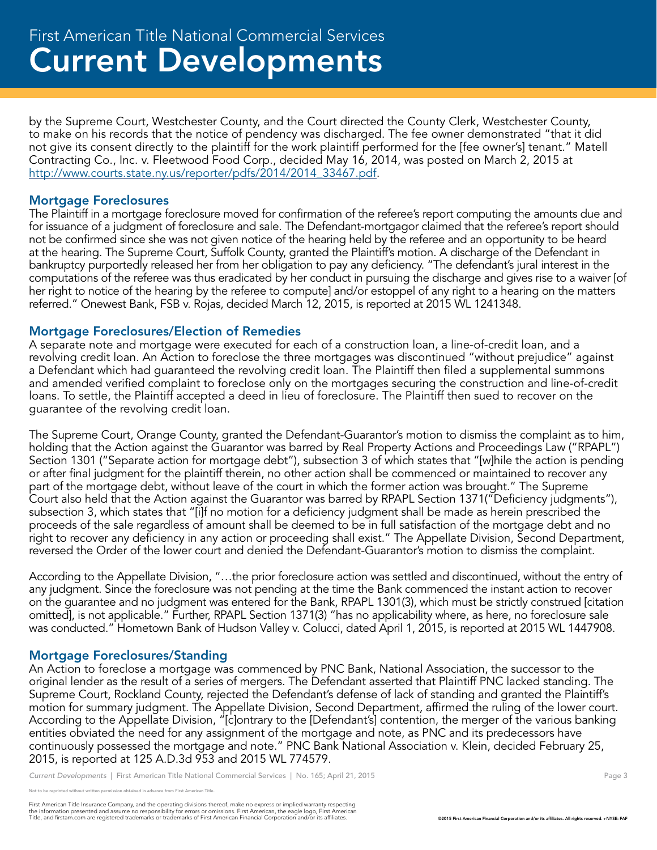by the Supreme Court, Westchester County, and the Court directed the County Clerk, Westchester County, to make on his records that the notice of pendency was discharged. The fee owner demonstrated "that it did not give its consent directly to the plaintiff for the work plaintiff performed for the [fee owner's] tenant." Matell Contracting Co., Inc. v. Fleetwood Food Corp., decided May 16, 2014, was posted on March 2, 2015 at http://www.courts.state.ny.us/reporter/pdfs/2014/2014\_33467.pdf.

# Mortgage Foreclosures

The Plaintiff in a mortgage foreclosure moved for confirmation of the referee's report computing the amounts due and for issuance of a judgment of foreclosure and sale. The Defendant-mortgagor claimed that the referee's report should not be confirmed since she was not given notice of the hearing held by the referee and an opportunity to be heard at the hearing. The Supreme Court, Suffolk County, granted the Plaintiff's motion. A discharge of the Defendant in bankruptcy purportedly released her from her obligation to pay any deficiency. "The defendant's jural interest in the computations of the referee was thus eradicated by her conduct in pursuing the discharge and gives rise to a waiver [of her right to notice of the hearing by the referee to compute] and/or estoppel of any right to a hearing on the matters referred." Onewest Bank, FSB v. Rojas, decided March 12, 2015, is reported at 2015 WL 1241348.

# Mortgage Foreclosures/Election of Remedies

A separate note and mortgage were executed for each of a construction loan, a line-of-credit loan, and a revolving credit loan. An Action to foreclose the three mortgages was discontinued "without prejudice" against a Defendant which had guaranteed the revolving credit loan. The Plaintiff then filed a supplemental summons and amended verified complaint to foreclose only on the mortgages securing the construction and line-of-credit loans. To settle, the Plaintiff accepted a deed in lieu of foreclosure. The Plaintiff then sued to recover on the guarantee of the revolving credit loan.

The Supreme Court, Orange County, granted the Defendant-Guarantor's motion to dismiss the complaint as to him, holding that the Action against the Guarantor was barred by Real Property Actions and Proceedings Law ("RPAPL") Section 1301 ("Separate action for mortgage debt"), subsection 3 of which states that "[w]hile the action is pending or after final judgment for the plaintiff therein, no other action shall be commenced or maintained to recover any part of the mortgage debt, without leave of the court in which the former action was brought." The Supreme Court also held that the Action against the Guarantor was barred by RPAPL Section 1371("Deficiency judgments"), subsection 3, which states that "[i]f no motion for a deficiency judgment shall be made as herein prescribed the proceeds of the sale regardless of amount shall be deemed to be in full satisfaction of the mortgage debt and no right to recover any deficiency in any action or proceeding shall exist." The Appellate Division, Second Department, reversed the Order of the lower court and denied the Defendant-Guarantor's motion to dismiss the complaint.

According to the Appellate Division, "…the prior foreclosure action was settled and discontinued, without the entry of any judgment. Since the foreclosure was not pending at the time the Bank commenced the instant action to recover on the guarantee and no judgment was entered for the Bank, RPAPL 1301(3), which must be strictly construed [citation omitted], is not applicable." Further, RPAPL Section 1371(3) "has no applicability where, as here, no foreclosure sale was conducted." Hometown Bank of Hudson Valley v. Colucci, dated April 1, 2015, is reported at 2015 WL 1447908.

# Mortgage Foreclosures/Standing

An Action to foreclose a mortgage was commenced by PNC Bank, National Association, the successor to the original lender as the result of a series of mergers. The Defendant asserted that Plaintiff PNC lacked standing. The Supreme Court, Rockland County, rejected the Defendant's defense of lack of standing and granted the Plaintiff's motion for summary judgment. The Appellate Division, Second Department, affirmed the ruling of the lower court. According to the Appellate Division, "[c]ontrary to the [Defendant's] contention, the merger of the various banking entities obviated the need for any assignment of the mortgage and note, as PNC and its predecessors have continuously possessed the mortgage and note." PNC Bank National Association v. Klein, decided February 25, 2015, is reported at 125 A.D.3d 953 and 2015 WL 774579.

*Current Developments* | First American Title National Commercial Services | No. 165; April 21, 2015 **Page 3** Page 3

reprinted without written permission obtained in advance from First American Title.

First American Title Insurance Company, and the operating divisions thereof, make no express or implied warranty respecting<br>the information presented and assume no responsibility for errors or omissions. First American end